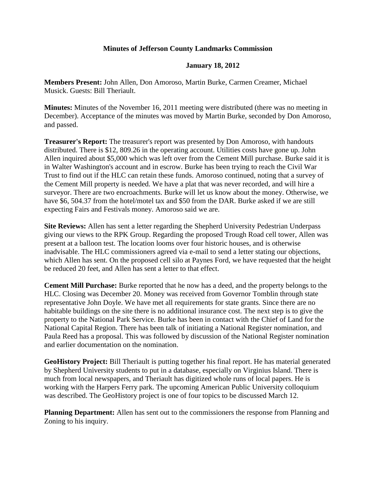## **Minutes of Jefferson County Landmarks Commission**

## **January 18, 2012**

**Members Present:** John Allen, Don Amoroso, Martin Burke, Carmen Creamer, Michael Musick. Guests: Bill Theriault.

**Minutes:** Minutes of the November 16, 2011 meeting were distributed (there was no meeting in December). Acceptance of the minutes was moved by Martin Burke, seconded by Don Amoroso, and passed.

**Treasurer's Report:** The treasurer's report was presented by Don Amoroso, with handouts distributed. There is \$12, 809.26 in the operating account. Utilities costs have gone up. John Allen inquired about \$5,000 which was left over from the Cement Mill purchase. Burke said it is in Walter Washington's account and in escrow. Burke has been trying to reach the Civil War Trust to find out if the HLC can retain these funds. Amoroso continued, noting that a survey of the Cement Mill property is needed. We have a plat that was never recorded, and will hire a surveyor. There are two encroachments. Burke will let us know about the money. Otherwise, we have \$6, 504.37 from the hotel/motel tax and \$50 from the DAR. Burke asked if we are still expecting Fairs and Festivals money. Amoroso said we are.

**Site Reviews:** Allen has sent a letter regarding the Shepherd University Pedestrian Underpass giving our views to the RPK Group. Regarding the proposed Trough Road cell tower, Allen was present at a balloon test. The location looms over four historic houses, and is otherwise inadvisable. The HLC commissioners agreed via e-mail to send a letter stating our objections, which Allen has sent. On the proposed cell silo at Paynes Ford, we have requested that the height be reduced 20 feet, and Allen has sent a letter to that effect.

**Cement Mill Purchase:** Burke reported that he now has a deed, and the property belongs to the HLC. Closing was December 20. Money was received from Governor Tomblin through state representative John Doyle. We have met all requirements for state grants. Since there are no habitable buildings on the site there is no additional insurance cost. The next step is to give the property to the National Park Service. Burke has been in contact with the Chief of Land for the National Capital Region. There has been talk of initiating a National Register nomination, and Paula Reed has a proposal. This was followed by discussion of the National Register nomination and earlier documentation on the nomination.

**GeoHistory Project:** Bill Theriault is putting together his final report. He has material generated by Shepherd University students to put in a database, especially on Virginius Island. There is much from local newspapers, and Theriault has digitized whole runs of local papers. He is working with the Harpers Ferry park. The upcoming American Public University colloquium was described. The GeoHistory project is one of four topics to be discussed March 12.

**Planning Department:** Allen has sent out to the commissioners the response from Planning and Zoning to his inquiry.